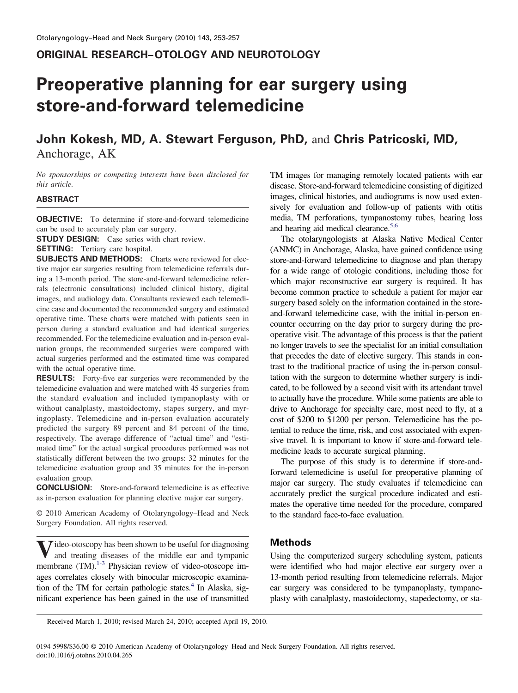# **ORIGINAL RESEARCH–OTOLOGY AND NEUROTOLOGY**

# **Preoperative planning for ear surgery using store-and-forward telemedicine**

# **John Kokesh, MD, A. Stewart Ferguson, PhD,** and **Chris Patricoski, MD,** Anchorage, AK

*No sponsorships or competing interests have been disclosed for this article.*

#### **ABSTRACT**

**OBJECTIVE:** To determine if store-and-forward telemedicine can be used to accurately plan ear surgery.

**STUDY DESIGN:** Case series with chart review.

**SETTING:** Tertiary care hospital.

**SUBJECTS AND METHODS:** Charts were reviewed for elective major ear surgeries resulting from telemedicine referrals during a 13-month period. The store-and-forward telemedicine referrals (electronic consultations) included clinical history, digital images, and audiology data. Consultants reviewed each telemedicine case and documented the recommended surgery and estimated operative time. These charts were matched with patients seen in person during a standard evaluation and had identical surgeries recommended. For the telemedicine evaluation and in-person evaluation groups, the recommended surgeries were compared with actual surgeries performed and the estimated time was compared with the actual operative time.

**RESULTS:** Forty-five ear surgeries were recommended by the telemedicine evaluation and were matched with 45 surgeries from the standard evaluation and included tympanoplasty with or without canalplasty, mastoidectomy, stapes surgery, and myringoplasty. Telemedicine and in-person evaluation accurately predicted the surgery 89 percent and 84 percent of the time, respectively. The average difference of "actual time" and "estimated time" for the actual surgical procedures performed was not statistically different between the two groups: 32 minutes for the telemedicine evaluation group and 35 minutes for the in-person evaluation group.

**CONCLUSION:** Store-and-forward telemedicine is as effective as in-person evaluation for planning elective major ear surgery.

© 2010 American Academy of Otolaryngology–Head and Neck Surgery Foundation. All rights reserved.

**V**ideo-otoscopy has been shown to be useful for diagnosing and treating diseases of the middle ear and tympanic membrane (TM).<sup>1-3</sup> Physician review of video-otoscope images correlates closely with binocular microscopic examination of the TM for certain pathologic states. $4$  In Alaska, significant experience has been gained in the use of transmitted

TM images for managing remotely located patients with ear disease. Store-and-forward telemedicine consisting of digitized images, clinical histories, and audiograms is now used extensively for evaluation and follow-up of patients with otitis media, TM perforations, tympanostomy tubes, hearing loss and hearing aid medical clearance.<sup>5,6</sup>

The otolaryngologists at Alaska Native Medical Center (ANMC) in Anchorage, Alaska, have gained confidence using store-and-forward telemedicine to diagnose and plan therapy for a wide range of otologic conditions, including those for which major reconstructive ear surgery is required. It has become common practice to schedule a patient for major ear surgery based solely on the information contained in the storeand-forward telemedicine case, with the initial in-person encounter occurring on the day prior to surgery during the preoperative visit. The advantage of this process is that the patient no longer travels to see the specialist for an initial consultation that precedes the date of elective surgery. This stands in contrast to the traditional practice of using the in-person consultation with the surgeon to determine whether surgery is indicated, to be followed by a second visit with its attendant travel to actually have the procedure. While some patients are able to drive to Anchorage for specialty care, most need to fly, at a cost of \$200 to \$1200 per person. Telemedicine has the potential to reduce the time, risk, and cost associated with expensive travel. It is important to know if store-and-forward telemedicine leads to accurate surgical planning.

The purpose of this study is to determine if store-andforward telemedicine is useful for preoperative planning of major ear surgery. The study evaluates if telemedicine can accurately predict the surgical procedure indicated and estimates the operative time needed for the procedure, compared to the standard face-to-face evaluation.

# **Methods**

Using the computerized surgery scheduling system, patients were identified who had major elective ear surgery over a 13-month period resulting from telemedicine referrals. Major ear surgery was considered to be tympanoplasty, tympanoplasty with canalplasty, mastoidectomy, stapedectomy, or sta-

Received March 1, 2010; revised March 24, 2010; accepted April 19, 2010.

0194-5998/\$36.00 © 2010 American Academy of Otolaryngology–Head and Neck Surgery Foundation. All rights reserved. doi:10.1016/j.otohns.2010.04.265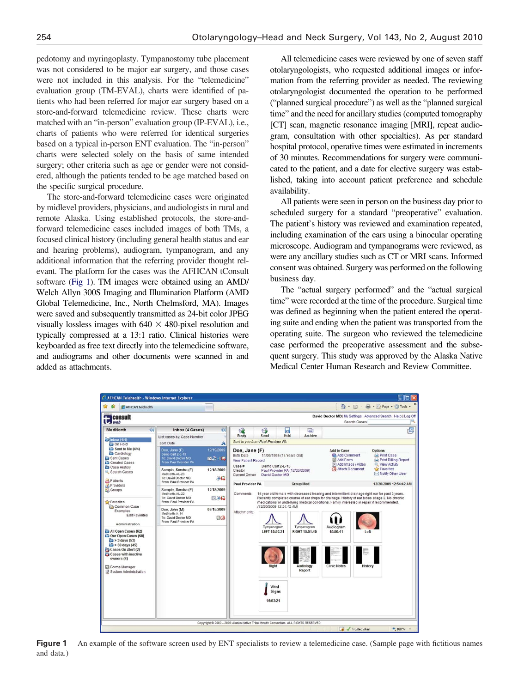pedotomy and myringoplasty. Tympanostomy tube placement was not considered to be major ear surgery, and those cases were not included in this analysis. For the "telemedicine" evaluation group (TM-EVAL), charts were identified of patients who had been referred for major ear surgery based on a store-and-forward telemedicine review. These charts were matched with an "in-person" evaluation group (IP-EVAL), i.e., charts of patients who were referred for identical surgeries based on a typical in-person ENT evaluation. The "in-person" charts were selected solely on the basis of same intended surgery; other criteria such as age or gender were not considered, although the patients tended to be age matched based on the specific surgical procedure.

The store-and-forward telemedicine cases were originated by midlevel providers, physicians, and audiologists in rural and remote Alaska. Using established protocols, the store-andforward telemedicine cases included images of both TMs, a focused clinical history (including general health status and ear and hearing problems), audiogram, tympanogram, and any additional information that the referring provider thought relevant. The platform for the cases was the AFHCAN tConsult software (Fig 1). TM images were obtained using an AMD/ Welch Allyn 300S Imaging and Illumination Platform (AMD Global Telemedicine, Inc., North Chelmsford, MA). Images were saved and subsequently transmitted as 24-bit color JPEG visually lossless images with  $640 \times 480$ -pixel resolution and typically compressed at a 13:1 ratio. Clinical histories were keyboarded as free text directly into the telemedicine software, and audiograms and other documents were scanned in and added as attachments.

All telemedicine cases were reviewed by one of seven staff otolaryngologists, who requested additional images or information from the referring provider as needed. The reviewing otolaryngologist documented the operation to be performed ("planned surgical procedure") as well as the "planned surgical time" and the need for ancillary studies (computed tomography [CT] scan, magnetic resonance imaging [MRI], repeat audiogram, consultation with other specialties). As per standard hospital protocol, operative times were estimated in increments of 30 minutes. Recommendations for surgery were communicated to the patient, and a date for elective surgery was established, taking into account patient preference and schedule availability.

All patients were seen in person on the business day prior to scheduled surgery for a standard "preoperative" evaluation. The patient's history was reviewed and examination repeated, including examination of the ears using a binocular operating microscope. Audiogram and tympanograms were reviewed, as were any ancillary studies such as CT or MRI scans. Informed consent was obtained. Surgery was performed on the following business day.

The "actual surgery performed" and the "actual surgical time" were recorded at the time of the procedure. Surgical time was defined as beginning when the patient entered the operating suite and ending when the patient was transported from the operating suite. The surgeon who reviewed the telemedicine case performed the preoperative assessment and the subsequent surgery. This study was approved by the Alaska Native Medical Center Human Research and Review Committee.



**Figure 1** An example of the software screen used by ENT specialists to review a telemedicine case. (Sample page with fictitious names and data.)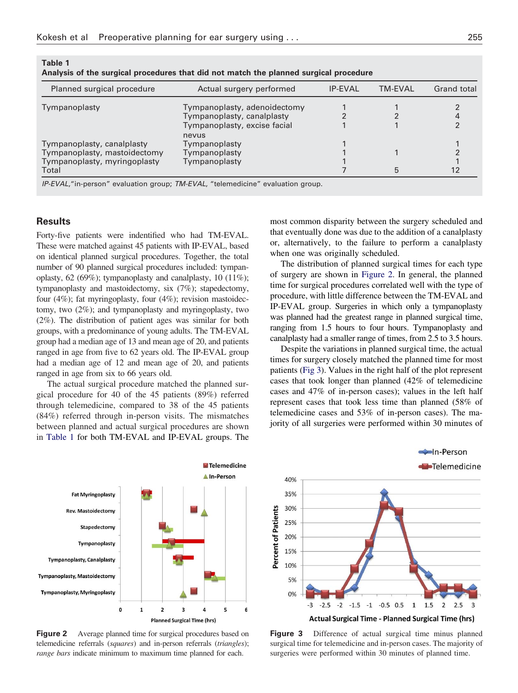| Analysis of the surgical procedures that did not match the planned surgical procedure |                                       |                |                |             |
|---------------------------------------------------------------------------------------|---------------------------------------|----------------|----------------|-------------|
| Planned surgical procedure                                                            | Actual surgery performed              | <b>IP-EVAL</b> | <b>TM-EVAL</b> | Grand total |
| Tympanoplasty                                                                         | Tympanoplasty, adenoidectomy          |                |                |             |
|                                                                                       | Tympanoplasty, canalplasty            |                |                |             |
|                                                                                       | Tympanoplasty, excise facial<br>nevus |                |                |             |
| Tympanoplasty, canalplasty                                                            | Tympanoplasty                         |                |                |             |
| Tympanoplasty, mastoidectomy                                                          | Tympanoplasty                         |                |                |             |
| Tympanoplasty, myringoplasty                                                          | Tympanoplasty                         |                |                |             |
| Total                                                                                 |                                       |                | 5              |             |

**Table 1 Analysis of the surgical procedures that did not match the planned surgical procedure**

*IP-EVAL*,"in-person" evaluation group; *TM-EVAL*, "telemedicine" evaluation group.

#### **Results**

Forty-five patients were indentified who had TM-EVAL. These were matched against 45 patients with IP-EVAL, based on identical planned surgical procedures. Together, the total number of 90 planned surgical procedures included: tympanoplasty, 62 (69%); tympanoplasty and canalplasty, 10 (11%); tympanoplasty and mastoidectomy, six (7%); stapedectomy, four (4%); fat myringoplasty, four (4%); revision mastoidectomy, two (2%); and tympanoplasty and myringoplasty, two (2%). The distribution of patient ages was similar for both groups, with a predominance of young adults. The TM-EVAL group had a median age of 13 and mean age of 20, and patients ranged in age from five to 62 years old. The IP-EVAL group had a median age of 12 and mean age of 20, and patients ranged in age from six to 66 years old.

The actual surgical procedure matched the planned surgical procedure for 40 of the 45 patients (89%) referred through telemedicine, compared to 38 of the 45 patients (84%) referred through in-person visits. The mismatches between planned and actual surgical procedures are shown in Table 1 for both TM-EVAL and IP-EVAL groups. The

most common disparity between the surgery scheduled and that eventually done was due to the addition of a canalplasty or, alternatively, to the failure to perform a canalplasty when one was originally scheduled.

The distribution of planned surgical times for each type of surgery are shown in Figure 2. In general, the planned time for surgical procedures correlated well with the type of procedure, with little difference between the TM-EVAL and IP-EVAL group. Surgeries in which only a tympanoplasty was planned had the greatest range in planned surgical time, ranging from 1.5 hours to four hours. Tympanoplasty and canalplasty had a smaller range of times, from 2.5 to 3.5 hours.

Despite the variations in planned surgical time, the actual times for surgery closely matched the planned time for most patients (Fig 3). Values in the right half of the plot represent cases that took longer than planned (42% of telemedicine cases and 47% of in-person cases); values in the left half represent cases that took less time than planned (58% of telemedicine cases and 53% of in-person cases). The majority of all surgeries were performed within 30 minutes of



**Figure 2** Average planned time for surgical procedures based on telemedicine referrals (*squares*) and in-person referrals (*triangles*); *range bars* indicate minimum to maximum time planned for each.



**Figure 3** Difference of actual surgical time minus planned surgical time for telemedicine and in-person cases. The majority of surgeries were performed within 30 minutes of planned time.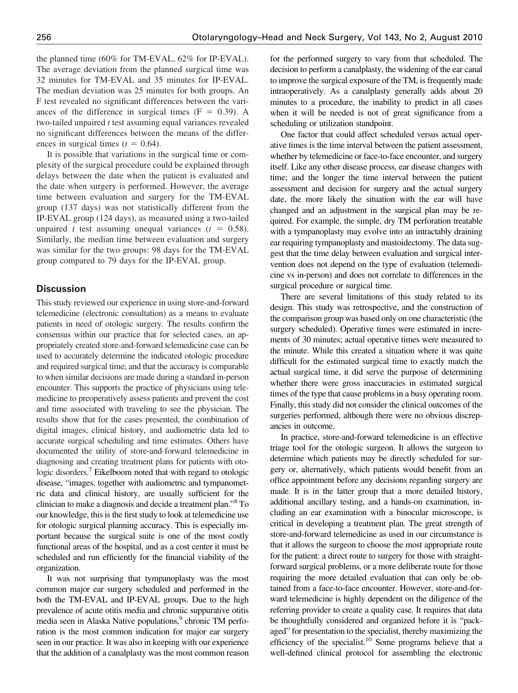the planned time (60% for TM-EVAL, 62% for IP-EVAL). The average deviation from the planned surgical time was 32 minutes for TM-EVAL and 35 minutes for IP-EVAL. The median deviation was 25 minutes for both groups. An F test revealed no significant differences between the variances of the difference in surgical times  $(F = 0.39)$ . A two-tailed unpaired *t* test assuming equal variances revealed no significant differences between the means of the differences in surgical times  $(t = 0.64)$ .

It is possible that variations in the surgical time or complexity of the surgical procedure could be explained through delays between the date when the patient is evaluated and the date when surgery is performed. However, the average time between evaluation and surgery for the TM-EVAL group (137 days) was not statistically different from the IP-EVAL group (124 days), as measured using a two-tailed unpaired *t* test assuming unequal variances  $(t = 0.58)$ . Similarly, the median time between evaluation and surgery was similar for the two groups: 98 days for the TM-EVAL group compared to 79 days for the IP-EVAL group.

# **Discussion**

This study reviewed our experience in using store-and-forward telemedicine (electronic consultation) as a means to evaluate patients in need of otologic surgery. The results confirm the consensus within our practice that for selected cases, an appropriately created store-and-forward telemedicine case can be used to accurately determine the indicated otologic procedure and required surgical time; and that the accuracy is comparable to when similar decisions are made during a standard in-person encounter. This supports the practice of physicians using telemedicine to preoperatively assess patients and prevent the cost and time associated with traveling to see the physician. The results show that for the cases presented, the combination of digital images, clinical history, and audiometric data led to accurate surgical scheduling and time estimates. Others have documented the utility of store-and-forward telemedicine in diagnosing and creating treatment plans for patients with otologic disorders.<sup>7</sup> Eikelboom noted that with regard to otologic disease, "images, together with audiometric and tympanometric data and clinical history, are usually sufficient for the clinician to make a diagnosis and decide a treatment plan.["8](#page-4-0) To our knowledge, this is the first study to look at telemedicine use for otologic surgical planning accuracy. This is especially important because the surgical suite is one of the most costly functional areas of the hospital, and as a cost center it must be scheduled and run efficiently for the financial viability of the organization.

It was not surprising that tympanoplasty was the most common major ear surgery scheduled and performed in the both the TM-EVAL and IP-EVAL groups. Due to the high prevalence of acute otitis media and chronic suppurative otitis media seen in Alaska Native populations,<sup>9</sup> chronic TM perforation is the most common indication for major ear surgery seen in our practice. It was also in keeping with our experience that the addition of a canalplasty was the most common reason

for the performed surgery to vary from that scheduled. The decision to perform a canalplasty, the widening of the ear canal to improve the surgical exposure of the TM, is frequently made intraoperatively. As a canalplasty generally adds about 20 minutes to a procedure, the inability to predict in all cases when it will be needed is not of great significance from a scheduling or utilization standpoint.

One factor that could affect scheduled versus actual operative times is the time interval between the patient assessment, whether by telemedicine or face-to-face encounter, and surgery itself. Like any other disease process, ear disease changes with time; and the longer the time interval between the patient assessment and decision for surgery and the actual surgery date, the more likely the situation with the ear will have changed and an adjustment in the surgical plan may be required. For example, the simple, dry TM perforation treatable with a tympanoplasty may evolve into an intractably draining ear requiring tympanoplasty and mastoidectomy. The data suggest that the time delay between evaluation and surgical intervention does not depend on the type of evaluation (telemedicine vs in-person) and does not correlate to differences in the surgical procedure or surgical time.

There are several limitations of this study related to its design. This study was retrospective, and the construction of the comparison group was based only on one characteristic (the surgery scheduled). Operative times were estimated in increments of 30 minutes; actual operative times were measured to the minute. While this created a situation where it was quite difficult for the estimated surgical time to exactly match the actual surgical time, it did serve the purpose of determining whether there were gross inaccuracies in estimated surgical times of the type that cause problems in a busy operating room. Finally, this study did not consider the clinical outcomes of the surgeries performed, although there were no obvious discrepancies in outcome.

In practice, store-and-forward telemedicine is an effective triage tool for the otologic surgeon. It allows the surgeon to determine which patients may be directly scheduled for surgery or, alternatively, which patients would benefit from an office appointment before any decisions regarding surgery are made. It is in the latter group that a more detailed history, additional ancillary testing, and a hands-on examination, including an ear examination with a binocular microscope, is critical in developing a treatment plan. The great strength of store-and-forward telemedicine as used in our circumstance is that it allows the surgeon to choose the most appropriate route for the patient: a direct route to surgery for those with straightforward surgical problems, or a more deliberate route for those requiring the more detailed evaluation that can only be obtained from a face-to-face encounter. However, store-and-forward telemedicine is highly dependent on the diligence of the referring provider to create a quality case. It requires that data be thoughtfully considered and organized before it is "packaged" for presentation to the specialist, thereby maximizing the efficiency of the specialist.<sup>10</sup> Some programs believe that a well-defined clinical protocol for assembling the electronic